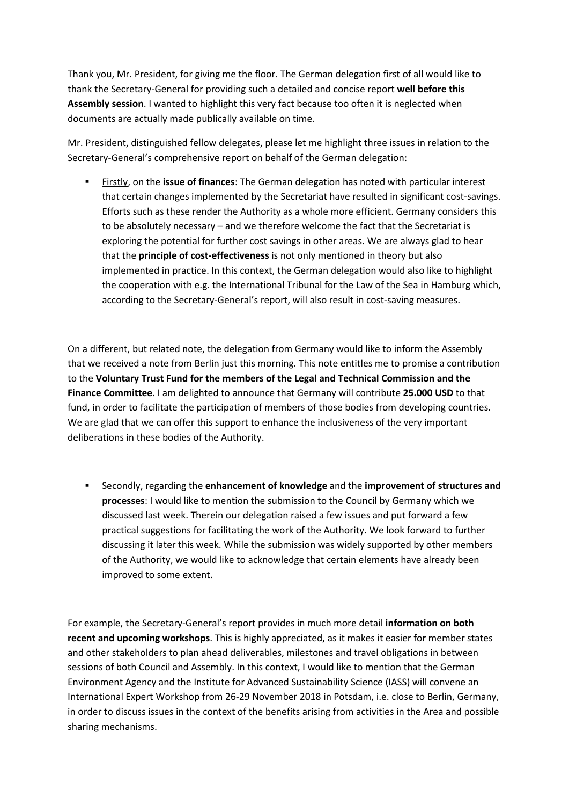Thank you, Mr. President, for giving me the floor. The German delegation first of all would like to thank the Secretary-General for providing such a detailed and concise report **well before this Assembly session**. I wanted to highlight this very fact because too often it is neglected when documents are actually made publically available on time.

Mr. President, distinguished fellow delegates, please let me highlight three issues in relation to the Secretary-General's comprehensive report on behalf of the German delegation:

 Firstly, on the **issue of finances**: The German delegation has noted with particular interest that certain changes implemented by the Secretariat have resulted in significant cost-savings. Efforts such as these render the Authority as a whole more efficient. Germany considers this to be absolutely necessary – and we therefore welcome the fact that the Secretariat is exploring the potential for further cost savings in other areas. We are always glad to hear that the **principle of cost-effectiveness** is not only mentioned in theory but also implemented in practice. In this context, the German delegation would also like to highlight the cooperation with e.g. the International Tribunal for the Law of the Sea in Hamburg which, according to the Secretary-General's report, will also result in cost-saving measures.

On a different, but related note, the delegation from Germany would like to inform the Assembly that we received a note from Berlin just this morning. This note entitles me to promise a contribution to the **Voluntary Trust Fund for the members of the Legal and Technical Commission and the Finance Committee**. I am delighted to announce that Germany will contribute **25.000 USD** to that fund, in order to facilitate the participation of members of those bodies from developing countries. We are glad that we can offer this support to enhance the inclusiveness of the very important deliberations in these bodies of the Authority.

 Secondly, regarding the **enhancement of knowledge** and the **improvement of structures and processes**: I would like to mention the submission to the Council by Germany which we discussed last week. Therein our delegation raised a few issues and put forward a few practical suggestions for facilitating the work of the Authority. We look forward to further discussing it later this week. While the submission was widely supported by other members of the Authority, we would like to acknowledge that certain elements have already been improved to some extent.

For example, the Secretary-General's report provides in much more detail **information on both recent and upcoming workshops**. This is highly appreciated, as it makes it easier for member states and other stakeholders to plan ahead deliverables, milestones and travel obligations in between sessions of both Council and Assembly. In this context, I would like to mention that the German Environment Agency and the Institute for Advanced Sustainability Science (IASS) will convene an International Expert Workshop from 26-29 November 2018 in Potsdam, i.e. close to Berlin, Germany, in order to discuss issues in the context of the benefits arising from activities in the Area and possible sharing mechanisms.